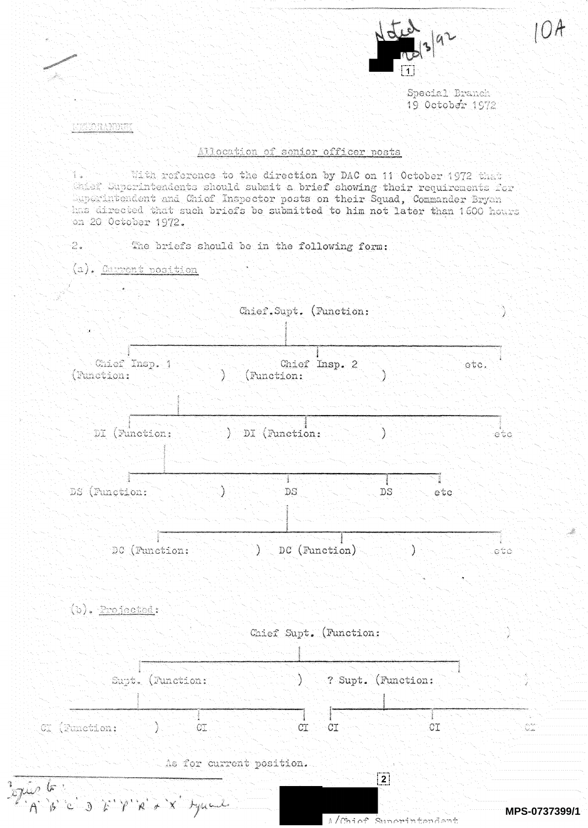

0A

Special Branch 19 October 1972

**ICELLOTAANDUM** 

## Allocation of senior officer posts

With reference to the direction by DAC on 11 October 1972 that i. Caief Superintendents should submit a brief showing their requirements for Superintendent and Chief Inspector posts on their Squad, Commander Bryan has directed that such briefs be submitted to him not later than 1600 hours on 20 October 1972.

 $2.$ The briefs should be in the following form:

(a). Carrent position

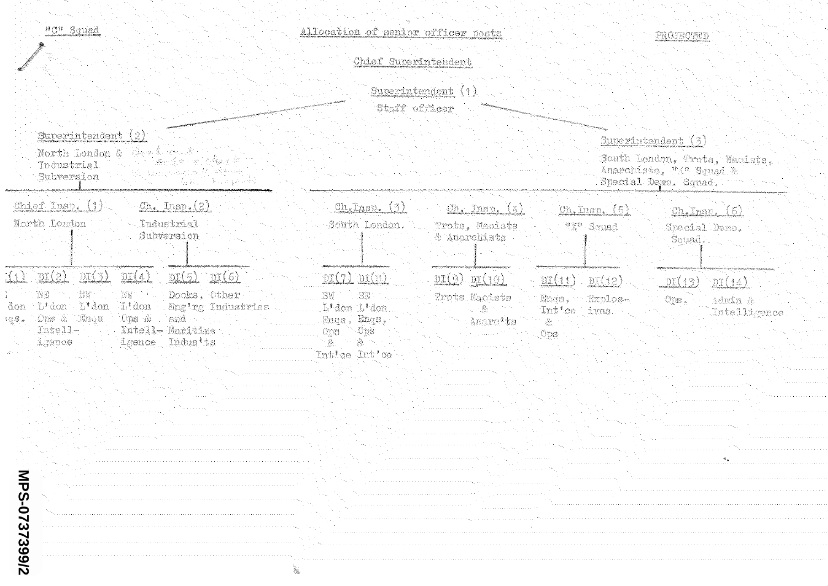| "C" Squad | i, |  |
|-----------|----|--|
|           |    |  |

|                                                                                                                                                                                                                                                                                            | Chief Superintendent                                                                                 |                                                                               |                                                                                                                                                                                                            |                                                                                                          |
|--------------------------------------------------------------------------------------------------------------------------------------------------------------------------------------------------------------------------------------------------------------------------------------------|------------------------------------------------------------------------------------------------------|-------------------------------------------------------------------------------|------------------------------------------------------------------------------------------------------------------------------------------------------------------------------------------------------------|----------------------------------------------------------------------------------------------------------|
|                                                                                                                                                                                                                                                                                            | Staff officer                                                                                        | Superintendent (1)                                                            |                                                                                                                                                                                                            |                                                                                                          |
| Superintendent (2)<br>North London & Carl cont<br>atter og den i Staat de Staat de Staat de Staat de Staat de Staat de Staat de Staat de Staat de Staat de Staat<br>Tndustrial<br>an marshall (and the search)<br>Subversion<br>G. S. L. Baragara (K                                       |                                                                                                      |                                                                               |                                                                                                                                                                                                            | Superintendent $(3)$<br>South London, Trots, Naoists.<br>Anarchists, "I" Squad &<br>Special Demo. Squad. |
| Chief Insp. (1)<br>$\mathcal{C}$ h. Insp. $(2)$<br>North London<br>Industrial<br>Subversion                                                                                                                                                                                                | On. Inso. (3)<br>South London.                                                                       | Ch. Insp. (4)<br>Trota. Macists<br>& Anarchists                               | Oh. Insp. (5)<br>"X" Squad                                                                                                                                                                                 | Ch. Insp. (6)<br>Special Demo.<br>Seuad.                                                                 |
| DT(3)<br>$\mathbb{D}I(2)$<br>DI(4)<br>$DI(5)$ $DI(6)$<br>I 1 1<br>Docks. Other<br>NB<br>'NM<br>WW<br>L <sup>t</sup> don L'don<br>L' don<br>Enging Industries<br>don.<br>les. Ops & Bnos.<br>Ops &<br>and -<br>Intell-<br>Intell- Maritime<br>Tndus'ts<br>igence<br>igence<br>MPS-0737399/2 | $DT(7)$ $DT(8)$<br>SE<br>.SW<br>L'don L'don<br>Engs, Engs,<br>$0DS 0DS$<br>Æ.<br>ŵ.<br>Intice Intice | DI(9)DI(10)<br>Trota Naoists<br>$\sim -2\varepsilon$<br>Anarc <sup>1</sup> ts | DT(11)<br>DT(12)<br>Engs, Brplos-<br>Int'ce ives<br>$\label{eq:1} \begin{array}{ll} \mathbb{E}_\mathcal{P} & \mathbb{E}_\mathcal{P} \\ \mathbb{E}_\mathcal{P} & \mathbb{E}_\mathcal{P} \end{array}$<br>Öps | DT(13)<br>DT(14)<br>008.<br>Admin &<br>Intellicence                                                      |